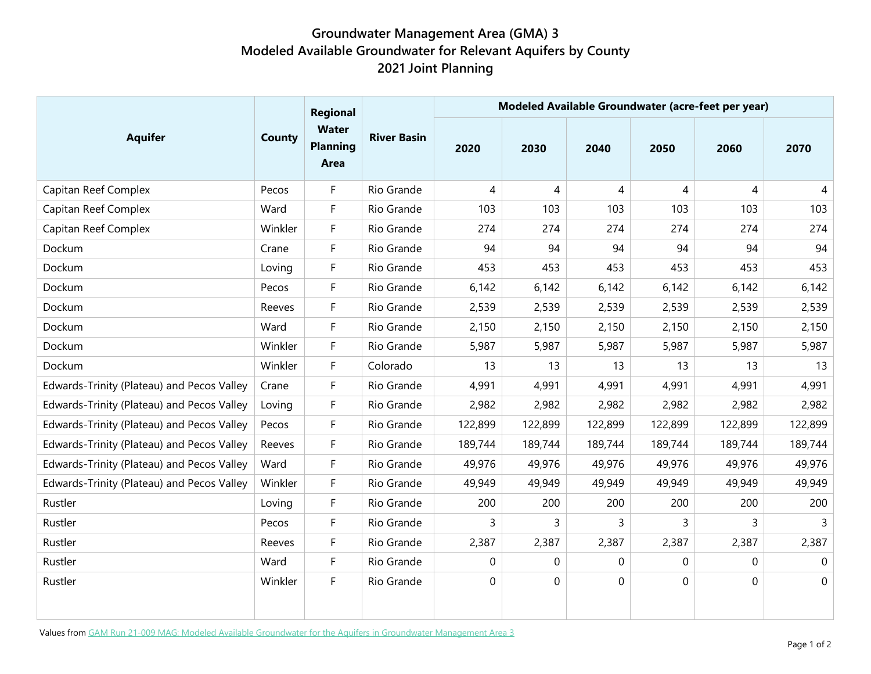## **Groundwater Management Area (GMA) 3 Modeled Available Groundwater for Relevant Aquifers by County 2021 Joint Planning**

| <b>Aquifer</b>                             | County  | Regional<br><b>Water</b><br><b>Planning</b><br>Area | <b>River Basin</b> | Modeled Available Groundwater (acre-feet per year) |             |             |             |             |             |
|--------------------------------------------|---------|-----------------------------------------------------|--------------------|----------------------------------------------------|-------------|-------------|-------------|-------------|-------------|
|                                            |         |                                                     |                    | 2020                                               | 2030        | 2040        | 2050        | 2060        | 2070        |
| Capitan Reef Complex                       | Pecos   | F                                                   | Rio Grande         | 4                                                  | 4           | 4           | 4           | 4           | 4           |
| Capitan Reef Complex                       | Ward    | F                                                   | Rio Grande         | 103                                                | 103         | 103         | 103         | 103         | 103         |
| Capitan Reef Complex                       | Winkler | $\mathsf F$                                         | Rio Grande         | 274                                                | 274         | 274         | 274         | 274         | 274         |
| Dockum                                     | Crane   | F                                                   | Rio Grande         | 94                                                 | 94          | 94          | 94          | 94          | 94          |
| Dockum                                     | Loving  | F                                                   | Rio Grande         | 453                                                | 453         | 453         | 453         | 453         | 453         |
| Dockum                                     | Pecos   | F                                                   | Rio Grande         | 6,142                                              | 6,142       | 6,142       | 6,142       | 6,142       | 6,142       |
| Dockum                                     | Reeves  | F                                                   | Rio Grande         | 2,539                                              | 2,539       | 2,539       | 2,539       | 2,539       | 2,539       |
| Dockum                                     | Ward    | $\overline{F}$                                      | Rio Grande         | 2,150                                              | 2,150       | 2,150       | 2,150       | 2,150       | 2,150       |
| Dockum                                     | Winkler | F                                                   | Rio Grande         | 5,987                                              | 5,987       | 5,987       | 5,987       | 5,987       | 5,987       |
| Dockum                                     | Winkler | $\mathsf F$                                         | Colorado           | 13                                                 | 13          | 13          | 13          | 13          | 13          |
| Edwards-Trinity (Plateau) and Pecos Valley | Crane   | F                                                   | Rio Grande         | 4,991                                              | 4,991       | 4,991       | 4,991       | 4,991       | 4,991       |
| Edwards-Trinity (Plateau) and Pecos Valley | Loving  | $\mathsf{F}$                                        | Rio Grande         | 2,982                                              | 2,982       | 2,982       | 2,982       | 2,982       | 2,982       |
| Edwards-Trinity (Plateau) and Pecos Valley | Pecos   | F                                                   | Rio Grande         | 122,899                                            | 122,899     | 122,899     | 122,899     | 122,899     | 122,899     |
| Edwards-Trinity (Plateau) and Pecos Valley | Reeves  | $\mathsf F$                                         | Rio Grande         | 189,744                                            | 189,744     | 189,744     | 189,744     | 189,744     | 189,744     |
| Edwards-Trinity (Plateau) and Pecos Valley | Ward    | $\mathsf F$                                         | Rio Grande         | 49,976                                             | 49,976      | 49,976      | 49,976      | 49,976      | 49,976      |
| Edwards-Trinity (Plateau) and Pecos Valley | Winkler | F                                                   | Rio Grande         | 49,949                                             | 49,949      | 49,949      | 49,949      | 49,949      | 49,949      |
| Rustler                                    | Loving  | $\mathsf{F}$                                        | Rio Grande         | 200                                                | 200         | 200         | 200         | 200         | 200         |
| Rustler                                    | Pecos   | $\overline{F}$                                      | Rio Grande         | 3                                                  | 3           | 3           | 3           | 3           | 3           |
| Rustler                                    | Reeves  | $\overline{F}$                                      | Rio Grande         | 2,387                                              | 2,387       | 2,387       | 2,387       | 2,387       | 2,387       |
| Rustler                                    | Ward    | $\mathsf F$                                         | Rio Grande         | $\mathbf 0$                                        | $\mathbf 0$ | $\mathbf 0$ | $\mathbf 0$ | $\mathbf 0$ | $\mathbf 0$ |
| Rustler                                    | Winkler | F                                                   | Rio Grande         | 0                                                  | $\pmb{0}$   | 0           | 0           | 0           | 0           |